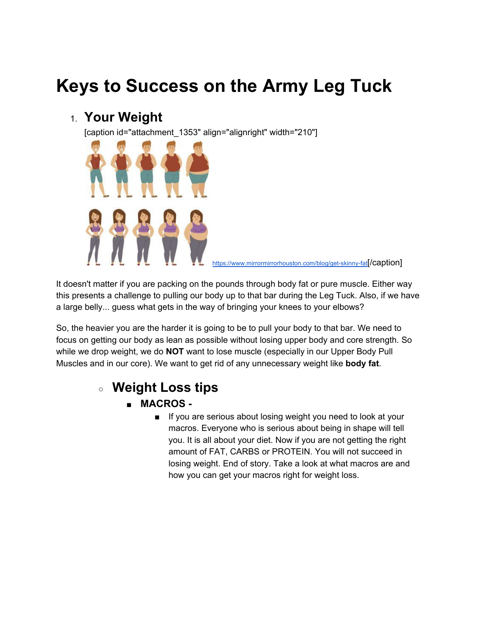# **Keys to Success on the Army Leg Tuck**

### 1. **Your Weight**

[caption id="attachment\_1353" align="alignright" width="210"]



<https://www.mirrormirrorhouston.com/blog/get-skinny-fat><sup>[</sup>/Caption]

It doesn't matter if you are packing on the pounds through body fat or pure muscle. Either way this presents a challenge to pulling our body up to that bar during the Leg Tuck. Also, if we have a large belly... guess what gets in the way of bringing your knees to your elbows?

So, the heavier you are the harder it is going to be to pull your body to that bar. We need to focus on getting our body as lean as possible without losing upper body and core strength. So while we drop weight, we do **NOT** want to lose muscle (especially in our Upper Body Pull Muscles and in our core). We want to get rid of any unnecessary weight like **body fat**.

# ○ **Weight Loss tips**

- **MACROS -**
	- If you are serious about losing weight you need to look at your macros. Everyone who is serious about being in shape will tell you. It is all about your diet. Now if you are not getting the right amount of FAT, CARBS or PROTEIN. You will not succeed in losing weight. End of story. Take a look at what macros are and how you can get your macros right for weight loss.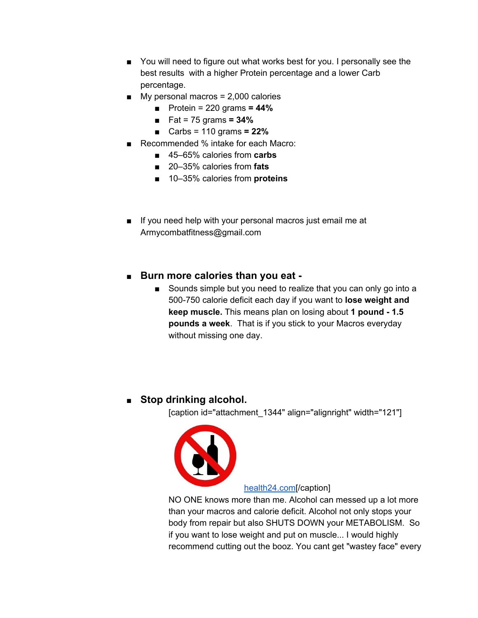- You will need to figure out what works best for you. I personally see the best results with a higher Protein percentage and a lower Carb percentage.
- $\blacksquare$  My personal macros = 2,000 calories
	- Protein = 220 grams **= 44%**
	- Fat = 75 grams **= 34%**
	- Carbs = 110 grams **= 22%**
- Recommended % intake for each Macro:
	- 45–65% calories from **carbs**
	- 20–35% calories from **fats**
	- 10–35% calories from **proteins**
- If you need help with your personal macros just email me at Armycombatfitness@gmail.com
- **Burn more calories than you eat -**
	- Sounds simple but you need to realize that you can only go into a 500-750 calorie deficit each day if you want to **lose weight and keep muscle.** This means plan on losing about **1 pound - 1.5 pounds a week**. That is if you stick to your Macros everyday without missing one day.

### ■ Stop drinking alcohol.

[caption id="attachment\_1344" align="alignright" width="121"]



### [health24.com\[](http://health24.com/)/caption]

NO ONE knows more than me. Alcohol can messed up a lot more than your macros and calorie deficit. Alcohol not only stops your body from repair but also SHUTS DOWN your METABOLISM. So if you want to lose weight and put on muscle... I would highly recommend cutting out the booz. You cant get "wastey face" every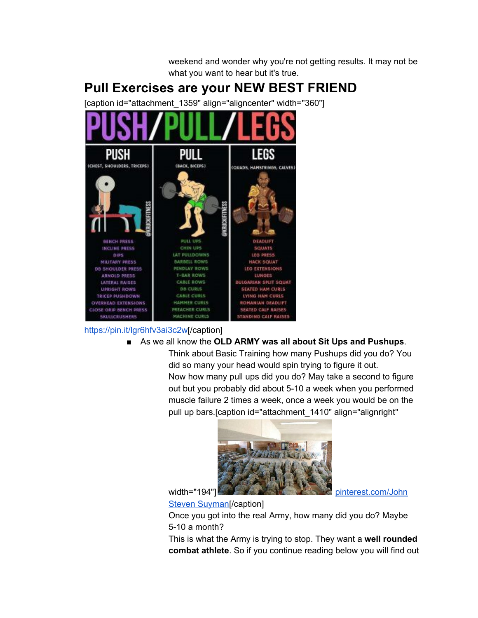

### [https://pin.it/lgr6hfv3ai3c2w\[](https://pin.it/lgr6hfv3ai3c2w)/caption]

#### ■ As we all know the **OLD ARMY was all about Sit Ups and Pushups**.

Think about Basic Training how many Pushups did you do? You did so many your head would spin trying to figure it out. Now how many pull ups did you do? May take a second to figure out but you probably did about 5-10 a week when you performed muscle failure 2 times a week, once a week you would be on the pull up bars.[caption id="attachment\_1410" align="alignright"

weekend and wonder why you're not getting results. It may not be



### Steven [Suyman](https://www.pinterest.com/juanstevensuyma/)[/caption]

Once you got into the real Army, how many did you do? Maybe 5-10 a month?

This is what the Army is trying to stop. They want a **well rounded combat athlete**. So if you continue reading below you will find out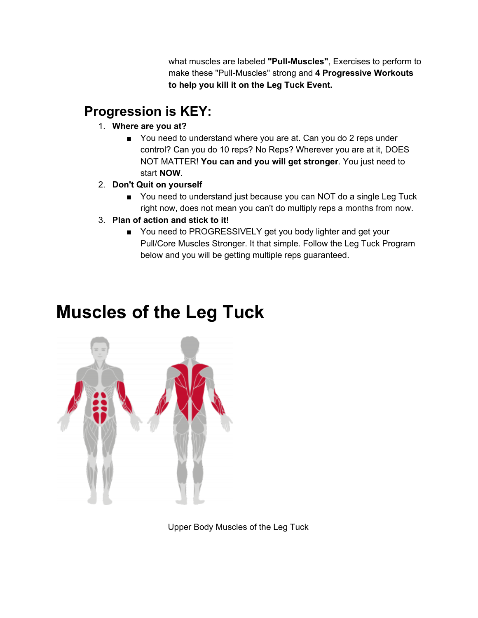what muscles are labeled **"Pull-Muscles"**, Exercises to perform to make these "Pull-Muscles" strong and **4 Progressive Workouts to help you kill it on the Leg Tuck Event.**

# **Progression is KEY:**

- 1. **Where are you at?**
	- You need to understand where you are at. Can you do 2 reps under control? Can you do 10 reps? No Reps? Wherever you are at it, DOES NOT MATTER! **You can and you will get stronger**. You just need to start **NOW**.
- 2. **Don't Quit on yourself**
	- You need to understand just because you can NOT do a single Leg Tuck right now, does not mean you can't do multiply reps a months from now.
- 3. **Plan of action and stick to it!**
	- You need to PROGRESSIVELY get you body lighter and get your Pull/Core Muscles Stronger. It that simple. Follow the Leg Tuck Program below and you will be getting multiple reps guaranteed.

# **Muscles of the Leg Tuck**



Upper Body Muscles of the Leg Tuck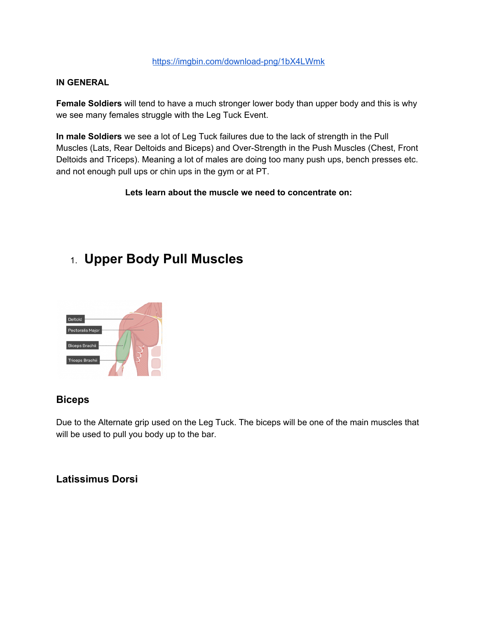#### <https://imgbin.com/download-png/1bX4LWmk>

#### **IN GENERAL**

**Female Soldiers** will tend to have a much stronger lower body than upper body and this is why we see many females struggle with the Leg Tuck Event.

**In male Soldiers** we see a lot of Leg Tuck failures due to the lack of strength in the Pull Muscles (Lats, Rear Deltoids and Biceps) and Over-Strength in the Push Muscles (Chest, Front Deltoids and Triceps). Meaning a lot of males are doing too many push ups, bench presses etc. and not enough pull ups or chin ups in the gym or at PT.

#### **Lets learn about the muscle we need to concentrate on:**

### 1. **Upper Body Pull Muscles**



### **Biceps**

Due to the Alternate grip used on the Leg Tuck. The biceps will be one of the main muscles that will be used to pull you body up to the bar.

### **Latissimus Dorsi**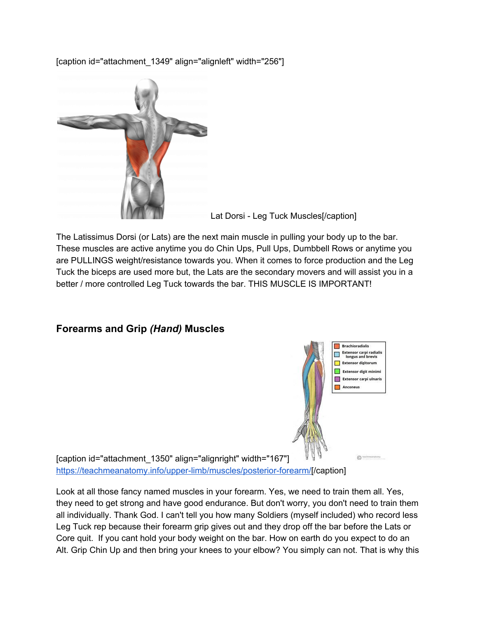[caption id="attachment\_1349" align="alignleft" width="256"]



Lat Dorsi - Leg Tuck Muscles[/caption]

The Latissimus Dorsi (or Lats) are the next main muscle in pulling your body up to the bar. These muscles are active anytime you do Chin Ups, Pull Ups, Dumbbell Rows or anytime you are PULLINGS weight/resistance towards you. When it comes to force production and the Leg Tuck the biceps are used more but, the Lats are the secondary movers and will assist you in a better / more controlled Leg Tuck towards the bar. THIS MUSCLE IS IMPORTANT!

### **Forearms and Grip** *(Hand)* **Muscles**



 $\odot$   $\cdots$ 

[caption id="attachment\_1350" align="alignright" width="167"] [https://teachmeanatomy.info/upper-limb/muscles/posterior-forearm/\[](https://teachmeanatomy.info/upper-limb/muscles/posterior-forearm/)/caption]

Look at all those fancy named muscles in your forearm. Yes, we need to train them all. Yes, they need to get strong and have good endurance. But don't worry, you don't need to train them all individually. Thank God. I can't tell you how many Soldiers (myself included) who record less Leg Tuck rep because their forearm grip gives out and they drop off the bar before the Lats or Core quit. If you cant hold your body weight on the bar. How on earth do you expect to do an Alt. Grip Chin Up and then bring your knees to your elbow? You simply can not. That is why this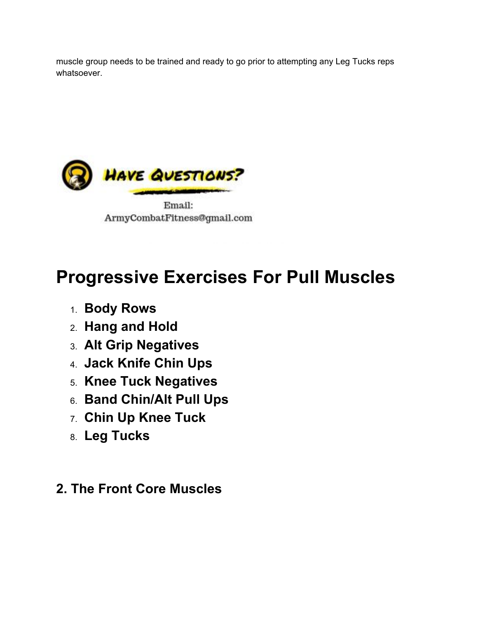muscle group needs to be trained and ready to go prior to attempting any Leg Tucks reps whatsoever.



Email: ArmyCombatFitness@gmail.com

# **Progressive Exercises For Pull Muscles**

- 1. **Body Rows**
- 2. **Hang and Hold**
- 3. **Alt Grip Negatives**
- 4. **Jack Knife Chin Ups**
- 5. **Knee Tuck Negatives**
- 6. **Band Chin/Alt Pull Ups**
- 7. **Chin Up Knee Tuck**
- 8. **Leg Tucks**

# **2. The Front Core Muscles**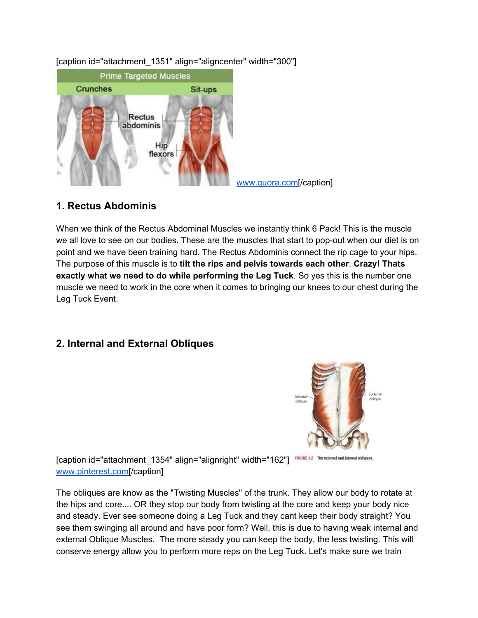

[caption id="attachment\_1351" align="aligncenter" width="300"]

### **1. Rectus Abdominis**

When we think of the Rectus Abdominal Muscles we instantly think 6 Pack! This is the muscle we all love to see on our bodies. These are the muscles that start to pop-out when our diet is on point and we have been training hard. The Rectus Abdominis connect the rip cage to your hips. The purpose of this muscle is to **tilt the rips and pelvis towards each other**. **Crazy! Thats exactly what we need to do while performing the Leg Tuck**. So yes this is the number one muscle we need to work in the core when it comes to bringing our knees to our chest during the Leg Tuck Event.

### **2. Internal and External Obliques**



[caption id="attachment\_1354" align="alignright" width="162"] FIGURE 1.2 The external and internal obliques. [www.pinterest.com\[](https://www.pinterest.com/pin/535435843169869602/?lp=true)/caption]

The obliques are know as the "Twisting Muscles" of the trunk. They allow our body to rotate at the hips and core.... OR they stop our body from twisting at the core and keep your body nice and steady. Ever see someone doing a Leg Tuck and they cant keep their body straight? You see them swinging all around and have poor form? Well, this is due to having weak internal and external Oblique Muscles. The more steady you can keep the body, the less twisting. This will conserve energy allow you to perform more reps on the Leg Tuck. Let's make sure we train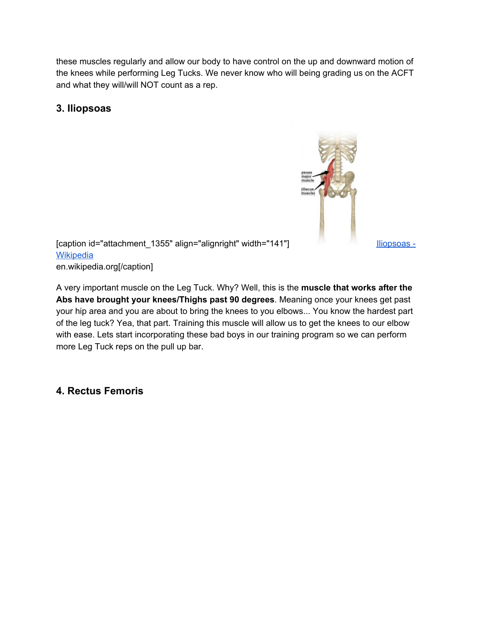these muscles regularly and allow our body to have control on the up and downward motion of the knees while performing Leg Tucks. We never know who will being grading us on the ACFT and what they will/will NOT count as a rep.

### **3. Iliopsoas**



[caption id="attachment\_1355" align="alignright" width="141"] [Iliopsoas](https://www.yoganatomy.com/psoas-resources/) -**[Wikipedia](https://www.yoganatomy.com/psoas-resources/)** en.wikipedia.org[/caption]

A very important muscle on the Leg Tuck. Why? Well, this is the **muscle that works after the Abs have brought your knees/Thighs past 90 degrees**. Meaning once your knees get past your hip area and you are about to bring the knees to you elbows... You know the hardest part of the leg tuck? Yea, that part. Training this muscle will allow us to get the knees to our elbow with ease. Lets start incorporating these bad boys in our training program so we can perform more Leg Tuck reps on the pull up bar.

### **4. Rectus Femoris**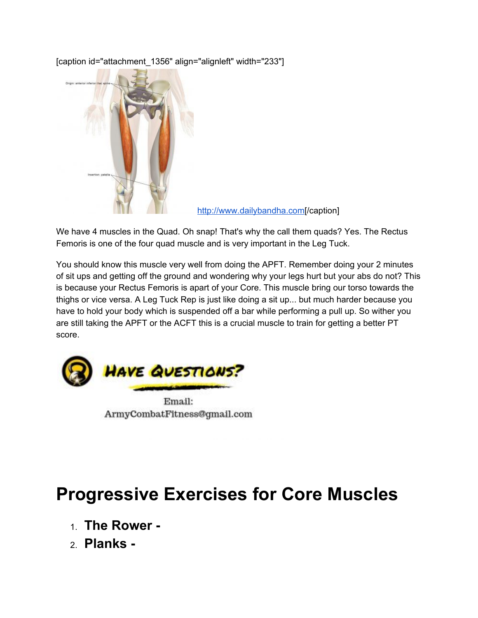

[caption id="attachment\_1356" align="alignleft" width="233"]

[http://www.dailybandha.com](http://www.dailybandha.com/2014/06/the-rectus-femoris-muscle-in-yoga.html?spref=pi)[/caption]

We have 4 muscles in the Quad. Oh snap! That's why the call them quads? Yes. The Rectus Femoris is one of the four quad muscle and is very important in the Leg Tuck.

You should know this muscle very well from doing the APFT. Remember doing your 2 minutes of sit ups and getting off the ground and wondering why your legs hurt but your abs do not? This is because your Rectus Femoris is apart of your Core. This muscle bring our torso towards the thighs or vice versa. A Leg Tuck Rep is just like doing a sit up... but much harder because you have to hold your body which is suspended off a bar while performing a pull up. So wither you are still taking the APFT or the ACFT this is a crucial muscle to train for getting a better PT score.



Email: ArmyCombatFitness@gmail.com

# **Progressive Exercises for Core Muscles**

- 1. **The Rower -**
- 2. **Planks -**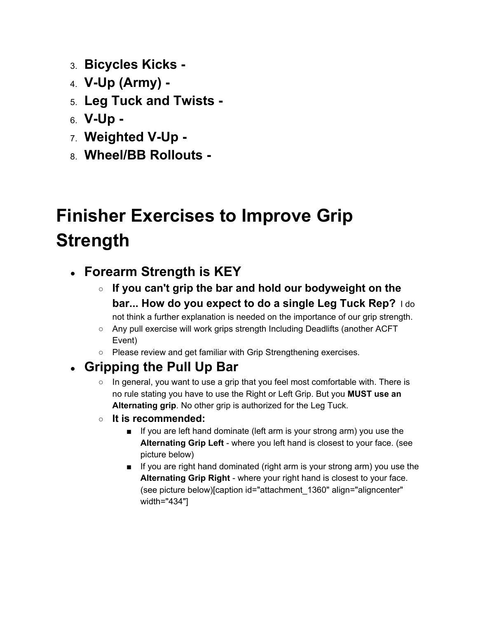- 3. **Bicycles Kicks -**
- 4. **V-Up (Army) -**
- 5. **Leg Tuck and Twists -**
- 6. **V-Up -**
- 7. **Weighted V-Up -**
- 8. **Wheel/BB Rollouts -**

# **Finisher Exercises to Improve Grip Strength**

# ● **Forearm Strength is KEY**

- **If you can't grip the bar and hold our bodyweight on the bar... How do you expect to do a single Leg Tuck Rep?** I do
- not think a further explanation is needed on the importance of our grip strength. ○ Any pull exercise will work grips strength Including Deadlifts (another ACFT
- Event)
- Please review and get familiar with Grip Strengthening exercises.

# ● **Gripping the Pull Up Bar**

- $\circ$  In general, you want to use a grip that you feel most comfortable with. There is no rule stating you have to use the Right or Left Grip. But you **MUST use an Alternating grip**. No other grip is authorized for the Leg Tuck.
- **It is recommended:**
	- If you are left hand dominate (left arm is your strong arm) you use the **Alternating Grip Left** - where you left hand is closest to your face. (see picture below)
	- If you are right hand dominated (right arm is your strong arm) you use the **Alternating Grip Right** - where your right hand is closest to your face. (see picture below)[caption id="attachment\_1360" align="aligncenter" width="434"]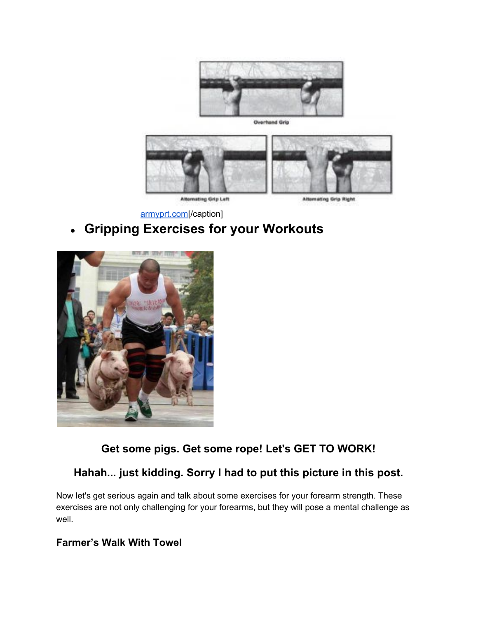

**Overhand Grip** 



Alternating Grip Left

Alternating Grip Right

[armyprt.com](http://armyprt.com/)[/caption]

# ● **Gripping Exercises for your Workouts**



**Get some pigs. Get some rope! Let's GET TO WORK!**

### **Hahah... just kidding. Sorry I had to put this picture in this post.**

Now let's get serious again and talk about some exercises for your forearm strength. These exercises are not only challenging for your forearms, but they will pose a mental challenge as well.

### **Farmer's Walk With Towel**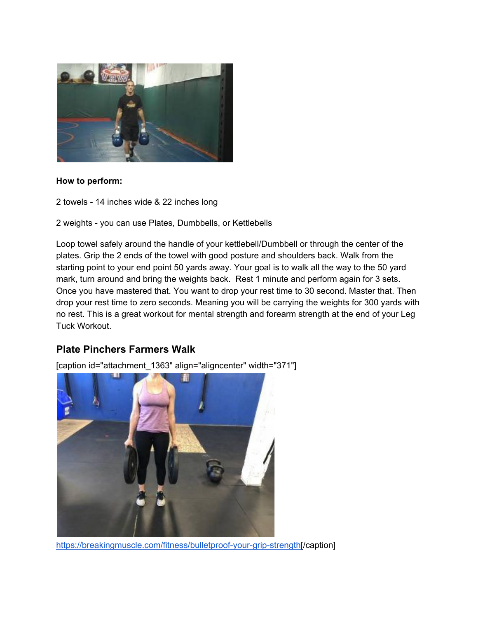

#### **How to perform:**

2 towels - 14 inches wide & 22 inches long

2 weights - you can use Plates, Dumbbells, or Kettlebells

Loop towel safely around the handle of your kettlebell/Dumbbell or through the center of the plates. Grip the 2 ends of the towel with good posture and shoulders back. Walk from the starting point to your end point 50 yards away. Your goal is to walk all the way to the 50 yard mark, turn around and bring the weights back. Rest 1 minute and perform again for 3 sets. Once you have mastered that. You want to drop your rest time to 30 second. Master that. Then drop your rest time to zero seconds. Meaning you will be carrying the weights for 300 yards with no rest. This is a great workout for mental strength and forearm strength at the end of your Leg Tuck Workout.

### **Plate Pinchers Farmers Walk**

[caption id="attachment\_1363" align="aligncenter" width="371"]



[https://breakingmuscle.com/fitness/bulletproof-your-grip-strength\[](https://breakingmuscle.com/fitness/bulletproof-your-grip-strength)/caption]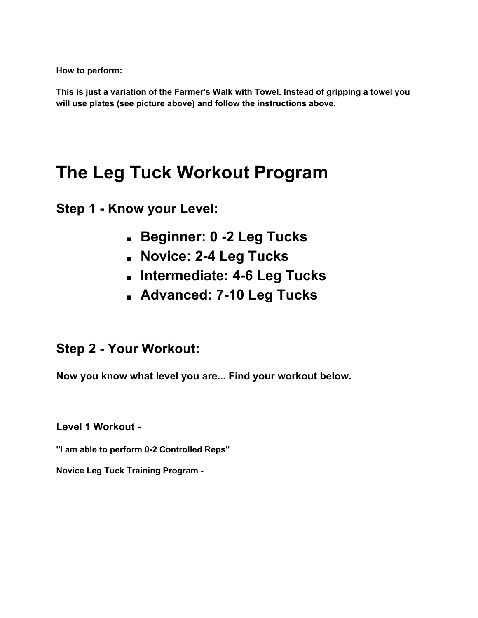**How to perform:**

**This is just a variation of the Farmer's Walk with Towel. Instead of gripping a towel you will use plates (see picture above) and follow the instructions above.**

# **The Leg Tuck Workout Program**

**Step 1 - Know your Level:**

- **Beginner: 0 -2 Leg Tucks**
- **Novice: 2-4 Leg Tucks**
- **Intermediate: 4-6 Leg Tucks**
- **Advanced: 7-10 Leg Tucks**

### **Step 2 - Your Workout:**

**Now you know what level you are... Find your workout below.**

**Level 1 Workout -**

**"I am able to perform 0-2 Controlled Reps"**

**Novice Leg Tuck Training Program -**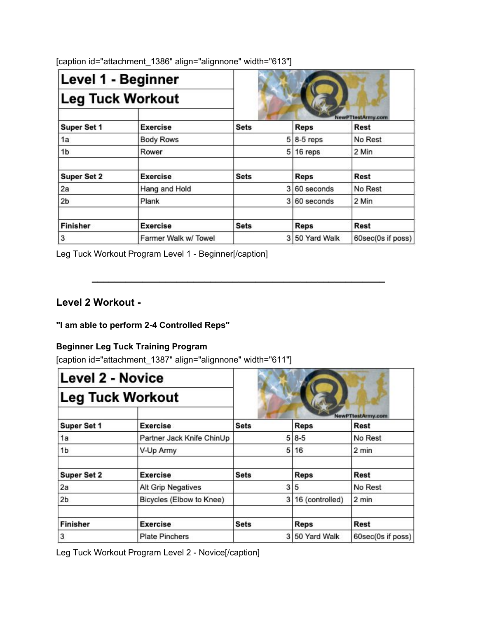| Level 1 - Beginner<br><b>Leg Tuck Workout</b> |                      |             |    |                |                           |
|-----------------------------------------------|----------------------|-------------|----|----------------|---------------------------|
|                                               |                      |             |    |                |                           |
| Super Set 1                                   | <b>Exercise</b>      | <b>Sets</b> |    | <b>Reps</b>    | NewPTtestArmy.com<br>Rest |
| 1a                                            | <b>Body Rows</b>     |             |    | $5 8-5$ reps   | No Rest                   |
| 1b                                            | Rower                |             | 51 | 16 reps        | 2 Min                     |
| <b>Super Set 2</b>                            | <b>Exercise</b>      | <b>Sets</b> |    | <b>Reps</b>    | Rest                      |
| 2a                                            | Hang and Hold        |             |    | 3 60 seconds   | No Rest                   |
| 2 <sub>b</sub>                                | Plank                |             |    | 3 60 seconds   | 2 Min                     |
| <b>Finisher</b>                               | <b>Exercise</b>      | <b>Sets</b> |    | <b>Reps</b>    | Rest                      |
| 3                                             | Farmer Walk w/ Towel |             |    | 3 50 Yard Walk | 60sec(0s if poss)         |

**\_\_\_\_\_\_\_\_\_\_\_\_\_\_\_\_\_\_\_\_\_\_\_\_\_\_\_\_\_\_\_\_\_\_\_\_\_\_\_\_\_\_\_\_\_\_\_\_\_\_\_\_**

[caption id="attachment\_1386" align="alignnone" width="613"]

Leg Tuck Workout Program Level 1 - Beginner[/caption]

### **Level 2 Workout -**

### **"I am able to perform 2-4 Controlled Reps"**

### **Beginner Leg Tuck Training Program**

[caption id="attachment\_1387" align="alignnone" width="611"]

| <b>Level 2 - Novice</b><br><b>Leg Tuck Workout</b> |                           |             |                 |                           |  |
|----------------------------------------------------|---------------------------|-------------|-----------------|---------------------------|--|
|                                                    |                           |             |                 |                           |  |
| Super Set 1                                        | <b>Exercise</b>           | <b>Sets</b> | <b>Reps</b>     | NewPTtestArmy.com<br>Rest |  |
| 1a                                                 | Partner Jack Knife ChinUp | 5           | $8 - 5$         | No Rest                   |  |
| 1b                                                 | V-Up Army                 | 5           | 16              | 2 min                     |  |
| <b>Super Set 2</b>                                 | <b>Exercise</b>           | <b>Sets</b> | <b>Reps</b>     | <b>Rest</b>               |  |
| 2a                                                 | <b>Alt Grip Negatives</b> | 3           | 5               | No Rest                   |  |
| 2 <sub>b</sub>                                     | Bicycles (Elbow to Knee)  | 3           | 16 (controlled) | 2 min                     |  |
| <b>Finisher</b>                                    | <b>Exercise</b>           | <b>Sets</b> | Reps            | Rest                      |  |
| 3                                                  | <b>Plate Pinchers</b>     | 3           | 50 Yard Walk    | 60sec(0s if poss)         |  |

Leg Tuck Workout Program Level 2 - Novice[/caption]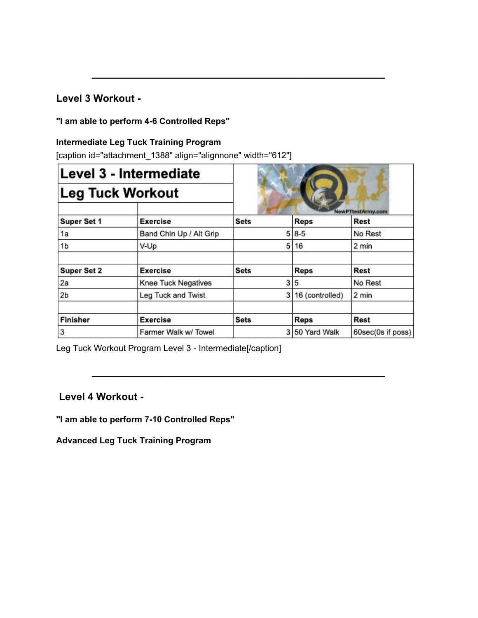### **Level 3 Workout -**

### **"I am able to perform 4-6 Controlled Reps"**

### **Intermediate Leg Tuck Training Program**

[caption id="attachment\_1388" align="alignnone" width="612"]

| Level 3 - Intermediate<br><b>Leg Tuck Workout</b> |                            |             |                 |                                  |
|---------------------------------------------------|----------------------------|-------------|-----------------|----------------------------------|
|                                                   |                            |             |                 |                                  |
| Super Set 1                                       | <b>Exercise</b>            | <b>Sets</b> | <b>Reps</b>     | NewPTtestArmy.com<br><b>Rest</b> |
| 1a                                                | Band Chin Up / Alt Grip    |             | $5 8-5$         | No Rest                          |
| 1 <sub>b</sub>                                    | V-Up                       | 5           | 16              | 2 min                            |
| <b>Super Set 2</b>                                | <b>Exercise</b>            | <b>Sets</b> | <b>Reps</b>     | <b>Rest</b>                      |
| 2a                                                | <b>Knee Tuck Negatives</b> | 3           | 5               | No Rest                          |
| 2 <sub>b</sub>                                    | Leg Tuck and Twist         | 3           | 16 (controlled) | 2 min                            |
| <b>Finisher</b>                                   | <b>Exercise</b>            | <b>Sets</b> | <b>Reps</b>     | <b>Rest</b>                      |
| 3                                                 | Farmer Walk w/ Towel       | 3           | 50 Yard Walk    | 60sec(0s if poss)                |

**\_\_\_\_\_\_\_\_\_\_\_\_\_\_\_\_\_\_\_\_\_\_\_\_\_\_\_\_\_\_\_\_\_\_\_\_\_\_\_\_\_\_\_\_\_\_\_\_\_\_\_\_**

**\_\_\_\_\_\_\_\_\_\_\_\_\_\_\_\_\_\_\_\_\_\_\_\_\_\_\_\_\_\_\_\_\_\_\_\_\_\_\_\_\_\_\_\_\_\_\_\_\_\_\_\_**

Leg Tuck Workout Program Level 3 - Intermediate[/caption]

### **Level 4 Workout -**

**"I am able to perform 7-10 Controlled Reps"**

**Advanced Leg Tuck Training Program**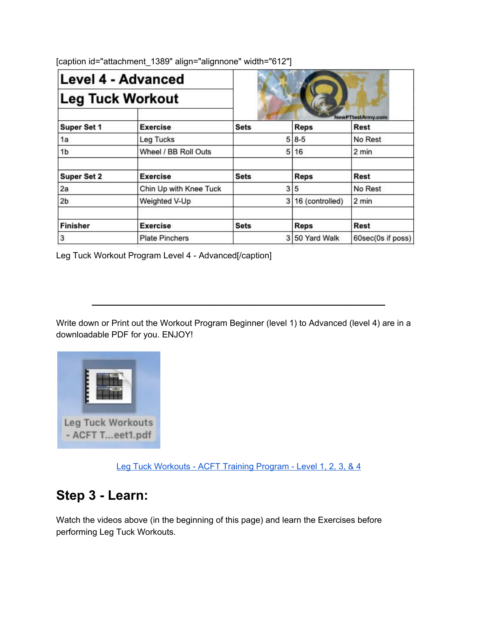| <b>Level 4 - Advanced</b><br><b>Leg Tuck Workout</b> |                        |             |                 |                           |
|------------------------------------------------------|------------------------|-------------|-----------------|---------------------------|
|                                                      |                        |             |                 |                           |
| Super Set 1                                          | <b>Exercise</b>        | <b>Sets</b> | <b>Reps</b>     | NewPTtestArmy.com<br>Rest |
| 1a                                                   | <b>Leg Tucks</b>       |             | $5 8-5$         | No Rest                   |
| 1b                                                   | Wheel / BB Roll Outs   | 5           | 16              | 2 min                     |
| <b>Super Set 2</b>                                   | <b>Exercise</b>        | <b>Sets</b> | <b>Reps</b>     | <b>Rest</b>               |
| 2a                                                   | Chin Up with Knee Tuck | 3           | 5               | No Rest                   |
| 2 <sub>b</sub>                                       | Weighted V-Up          | 3           | 16 (controlled) | 2 min                     |
| <b>Finisher</b>                                      | <b>Exercise</b>        | <b>Sets</b> | <b>Reps</b>     | <b>Rest</b>               |
| 3                                                    | <b>Plate Pinchers</b>  |             | 3 50 Yard Walk  | 60sec(0s if poss)         |

[caption id="attachment\_1389" align="alignnone" width="612"]

Leg Tuck Workout Program Level 4 - Advanced[/caption]

Write down or Print out the Workout Program Beginner (level 1) to Advanced (level 4) are in a downloadable PDF for you. ENJOY!

**\_\_\_\_\_\_\_\_\_\_\_\_\_\_\_\_\_\_\_\_\_\_\_\_\_\_\_\_\_\_\_\_\_\_\_\_\_\_\_\_\_\_\_\_\_\_\_\_\_\_\_\_**



Leg Tuck [Workouts](https://newpttestarmy.com/wp-content/uploads/2019/09/Leg-Tuck-Workouts-ACFT-Training-Program-Sheet1.pdf) - ACFT Training Program - Level 1, 2, 3, & 4

### **Step 3 - Learn:**

Watch the videos above (in the beginning of this page) and learn the Exercises before performing Leg Tuck Workouts.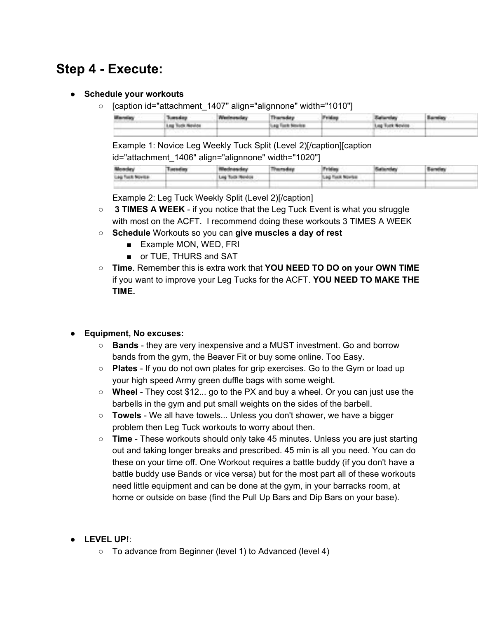# **Step 4 - Execute:**

- **Schedule your workouts**
	- [caption id="attachment\_1407" align="alignnone" width="1010"]

| <b>Barbalan</b> | Transday.       | Thursday.            | Triday. | <b><i>Callenger</i></b> | Barning |  |
|-----------------|-----------------|----------------------|---------|-------------------------|---------|--|
|                 | Log Tods Newton | class finals binaday |         | Log Turk Space          |         |  |
|                 |                 |                      |         | and the company         |         |  |

Example 1: Novice Leg Weekly Tuck Split (Level 2)[/caption][caption id="attachment\_1406" align="alignnone" width="1020"]

| <b>CONTRACTOR</b> | The Company of the Co<br>the property of the control of the<br> |  | <b>CONTRACTOR</b><br><b>STATE</b>             | <b>CONTRACTOR</b>                            | and the property of the con- |
|-------------------|-----------------------------------------------------------------|--|-----------------------------------------------|----------------------------------------------|------------------------------|
| ___               | <b>CONTRACTOR</b>                                               |  | The company's the company's company's<br>____ | the country of the country of the country of |                              |
|                   |                                                                 |  |                                               |                                              |                              |

Example 2: Leg Tuck Weekly Split (Level 2)[/caption]

- **3 TIMES A WEEK** if you notice that the Leg Tuck Event is what you struggle with most on the ACFT. I recommend doing these workouts 3 TIMES A WEEK
- **Schedule** Workouts so you can **give muscles a day of rest**
	- Example MON, WED, FRI
	- or TUE, THURS and SAT
- **Time**. Remember this is extra work that **YOU NEED TO DO on your OWN TIME** if you want to improve your Leg Tucks for the ACFT. **YOU NEED TO MAKE THE TIME.**

### ● **Equipment, No excuses:**

- **Bands** they are very inexpensive and a MUST investment. Go and borrow bands from the gym, the Beaver Fit or buy some online. Too Easy.
- **Plates** If you do not own plates for grip exercises. Go to the Gym or load up your high speed Army green duffle bags with some weight.
- **Wheel** They cost \$12... go to the PX and buy a wheel. Or you can just use the barbells in the gym and put small weights on the sides of the barbell.
- **Towels** We all have towels... Unless you don't shower, we have a bigger problem then Leg Tuck workouts to worry about then.
- **Time** These workouts should only take 45 minutes. Unless you are just starting out and taking longer breaks and prescribed. 45 min is all you need. You can do these on your time off. One Workout requires a battle buddy (if you don't have a battle buddy use Bands or vice versa) but for the most part all of these workouts need little equipment and can be done at the gym, in your barracks room, at home or outside on base (find the Pull Up Bars and Dip Bars on your base).

### ● **LEVEL UP!**:

○ To advance from Beginner (level 1) to Advanced (level 4)